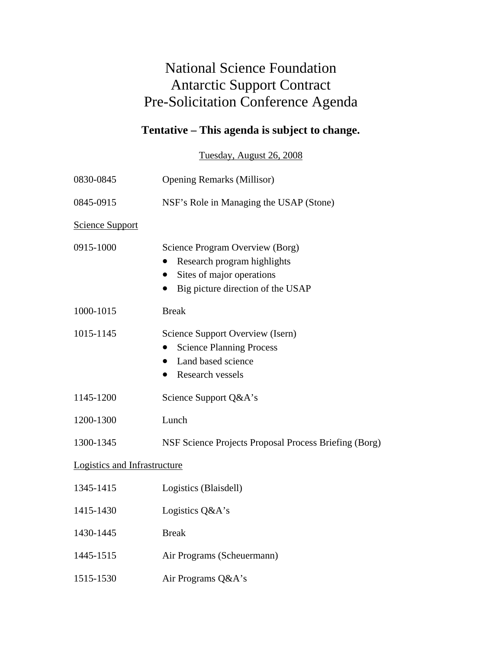## National Science Foundation Antarctic Support Contract Pre-Solicitation Conference Agenda

## **Tentative – This agenda is subject to change.**

Tuesday, August 26, 2008

| 0830-0845                    | <b>Opening Remarks (Millisor)</b>                                                                                                |
|------------------------------|----------------------------------------------------------------------------------------------------------------------------------|
| 0845-0915                    | NSF's Role in Managing the USAP (Stone)                                                                                          |
| <b>Science Support</b>       |                                                                                                                                  |
| 0915-1000                    | Science Program Overview (Borg)<br>Research program highlights<br>Sites of major operations<br>Big picture direction of the USAP |
| 1000-1015                    | <b>Break</b>                                                                                                                     |
| 1015-1145                    | Science Support Overview (Isern)<br><b>Science Planning Process</b><br>Land based science<br>Research vessels                    |
| 1145-1200                    | Science Support Q&A's                                                                                                            |
| 1200-1300                    | Lunch                                                                                                                            |
| 1300-1345                    | NSF Science Projects Proposal Process Briefing (Borg)                                                                            |
| Logistics and Infrastructure |                                                                                                                                  |
| 1345-1415                    | Logistics (Blaisdell)                                                                                                            |
| 1415-1430                    | Logistics Q&A's                                                                                                                  |
| 1430-1445                    | <b>Break</b>                                                                                                                     |
| 1445-1515                    | Air Programs (Scheuermann)                                                                                                       |
| 1515-1530                    | Air Programs Q&A's                                                                                                               |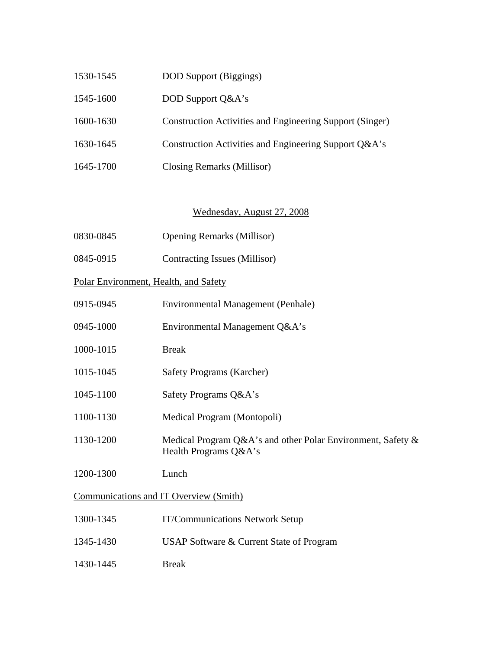| 1530-1545 | <b>DOD</b> Support (Biggings)                            |
|-----------|----------------------------------------------------------|
| 1545-1600 | DOD Support Q&A's                                        |
| 1600-1630 | Construction Activities and Engineering Support (Singer) |
| 1630-1645 | Construction Activities and Engineering Support Q&A's    |
| 1645-1700 | Closing Remarks (Millisor)                               |

## Wednesday, August 27, 2008

- 0830-0845 Opening Remarks (Millisor)
- 0845-0915 Contracting Issues (Millisor)

Polar Environment, Health, and Safety

- 0915-0945 Environmental Management (Penhale)
- 0945-1000 Environmental Management Q&A's
- 1000-1015 Break
- 1015-1045 Safety Programs (Karcher)
- 1045-1100 Safety Programs Q&A's
- 1100-1130 Medical Program (Montopoli)
- 1130-1200 Medical Program Q&A's and other Polar Environment, Safety & Health Programs Q&A's
- 1200-1300 Lunch

## Communications and IT Overview (Smith)

- 1300-1345 IT/Communications Network Setup
- 1345-1430 USAP Software & Current State of Program
- 1430-1445 Break